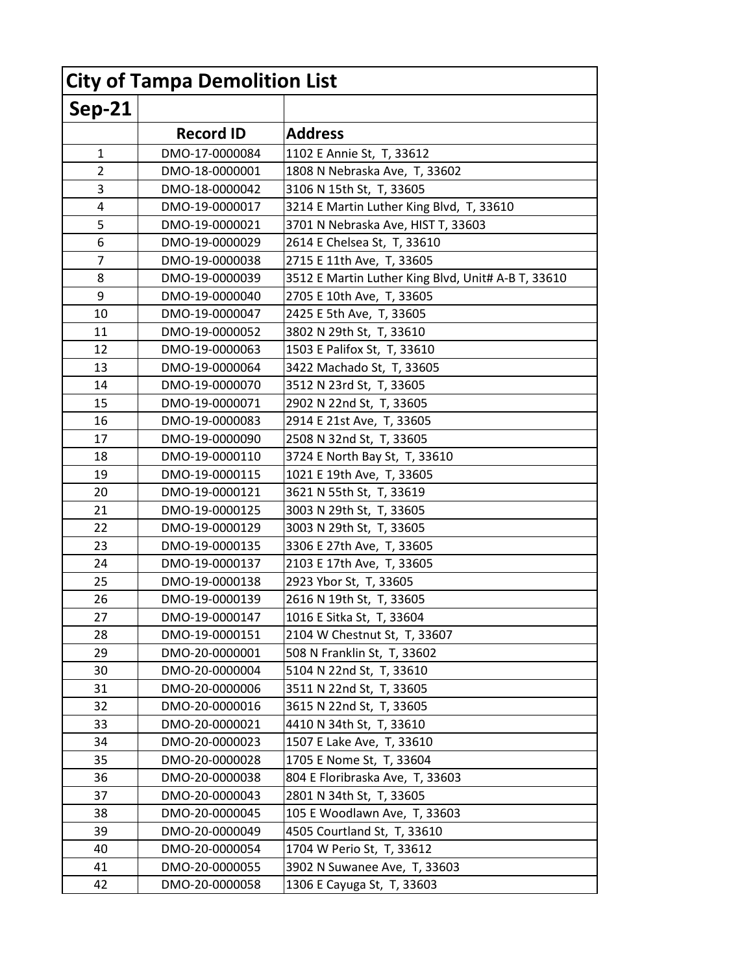| <b>City of Tampa Demolition List</b> |                  |                                                    |
|--------------------------------------|------------------|----------------------------------------------------|
| <b>Sep-21</b>                        |                  |                                                    |
|                                      | <b>Record ID</b> | <b>Address</b>                                     |
| 1                                    | DMO-17-0000084   | 1102 E Annie St, T, 33612                          |
| $\overline{2}$                       | DMO-18-0000001   | 1808 N Nebraska Ave, T, 33602                      |
| 3                                    | DMO-18-0000042   | 3106 N 15th St, T, 33605                           |
| 4                                    | DMO-19-0000017   | 3214 E Martin Luther King Blvd, T, 33610           |
| 5                                    | DMO-19-0000021   | 3701 N Nebraska Ave, HIST T, 33603                 |
| 6                                    | DMO-19-0000029   | 2614 E Chelsea St, T, 33610                        |
| 7                                    | DMO-19-0000038   | 2715 E 11th Ave, T, 33605                          |
| 8                                    | DMO-19-0000039   | 3512 E Martin Luther King Blvd, Unit# A-B T, 33610 |
| 9                                    | DMO-19-0000040   | 2705 E 10th Ave, T, 33605                          |
| 10                                   | DMO-19-0000047   | 2425 E 5th Ave, T, 33605                           |
| 11                                   | DMO-19-0000052   | 3802 N 29th St, T, 33610                           |
| 12                                   | DMO-19-0000063   | 1503 E Palifox St, T, 33610                        |
| 13                                   | DMO-19-0000064   | 3422 Machado St, T, 33605                          |
| 14                                   | DMO-19-0000070   | 3512 N 23rd St, T, 33605                           |
| 15                                   | DMO-19-0000071   | 2902 N 22nd St, T, 33605                           |
| 16                                   | DMO-19-0000083   | 2914 E 21st Ave, T, 33605                          |
| 17                                   | DMO-19-0000090   | 2508 N 32nd St, T, 33605                           |
| 18                                   | DMO-19-0000110   | 3724 E North Bay St, T, 33610                      |
| 19                                   | DMO-19-0000115   | 1021 E 19th Ave, T, 33605                          |
| 20                                   | DMO-19-0000121   | 3621 N 55th St, T, 33619                           |
| 21                                   | DMO-19-0000125   | 3003 N 29th St, T, 33605                           |
| 22                                   | DMO-19-0000129   | 3003 N 29th St, T, 33605                           |
| 23                                   | DMO-19-0000135   | 3306 E 27th Ave, T, 33605                          |
| 24                                   | DMO-19-0000137   | 2103 E 17th Ave, T, 33605                          |
| 25                                   | DMO-19-0000138   | 2923 Ybor St, T, 33605                             |
| 26                                   | DMO-19-0000139   | 2616 N 19th St, T, 33605                           |
| 27                                   | DMO-19-0000147   | 1016 E Sitka St, T, 33604                          |
| 28                                   | DMO-19-0000151   | 2104 W Chestnut St, T, 33607                       |
| 29                                   | DMO-20-0000001   | 508 N Franklin St, T, 33602                        |
| 30                                   | DMO-20-0000004   | 5104 N 22nd St, T, 33610                           |
| 31                                   | DMO-20-0000006   | 3511 N 22nd St, T, 33605                           |
| 32                                   | DMO-20-0000016   | 3615 N 22nd St, T, 33605                           |
| 33                                   | DMO-20-0000021   | 4410 N 34th St, T, 33610                           |
| 34                                   | DMO-20-0000023   | 1507 E Lake Ave, T, 33610                          |
| 35                                   | DMO-20-0000028   | 1705 E Nome St, T, 33604                           |
| 36                                   | DMO-20-0000038   | 804 E Floribraska Ave, T, 33603                    |
| 37                                   | DMO-20-0000043   | 2801 N 34th St, T, 33605                           |
| 38                                   | DMO-20-0000045   | 105 E Woodlawn Ave, T, 33603                       |
| 39                                   | DMO-20-0000049   | 4505 Courtland St, T, 33610                        |
| 40                                   | DMO-20-0000054   | 1704 W Perio St, T, 33612                          |
| 41                                   | DMO-20-0000055   | 3902 N Suwanee Ave, T, 33603                       |
| 42                                   | DMO-20-0000058   | 1306 E Cayuga St, T, 33603                         |